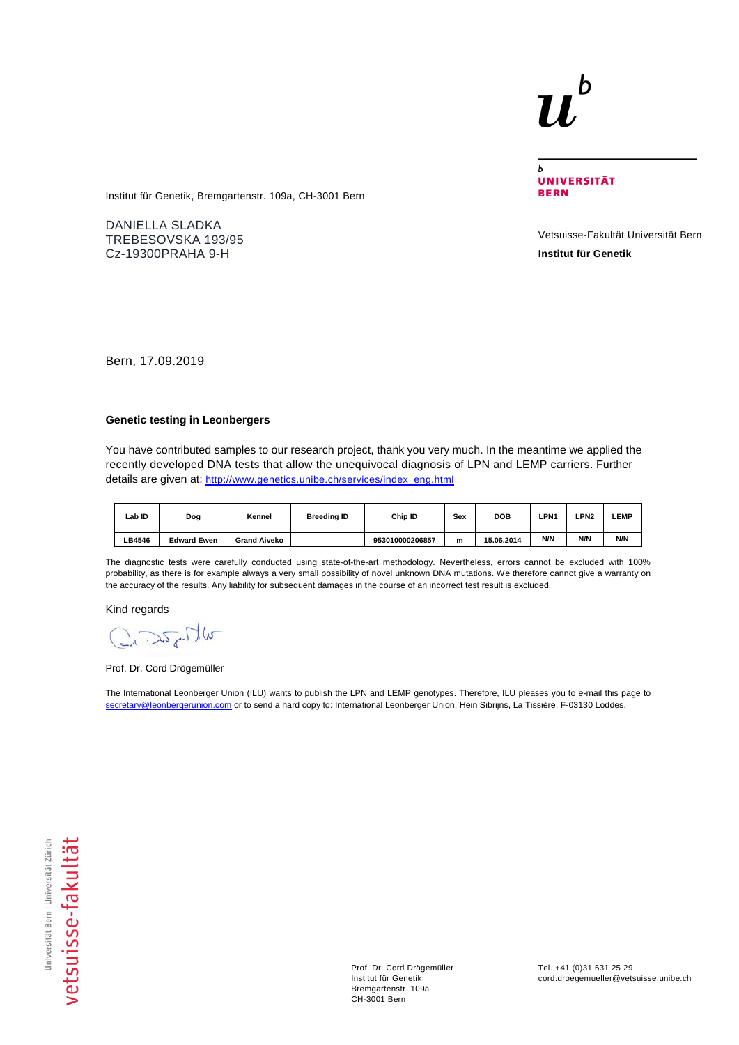## b

 $\mathbf b$ **UNIVERSITÄT BERN** 

**Institut für Genetik, Bremgartenstr. 109a, CH-3001 Bern** 

DANIELLA SLADKA TREBESOVSKA 193/95 Cz-19300PRAHA 9-H

Vetsuisse-Fakultät Universität Bern **Institut für Genetik**

Bern, 17.09.2019

## **Genetic testing in Leonbergers**

You have contributed samples to our research project, thank you very much. In the meantime we applied the recently developed DNA tests that allow the unequivocal diagnosis of LPN and LEMP carriers. Further details are given at[: http://www.genetics.unibe.ch/services/index\\_eng.html](http://www.genetics.unibe.ch/services/index_eng.html)

| ∟ab ID | Dog                | Kennel              | <b>Breeding ID</b> | Chip ID         | Sex | <b>DOB</b> | <b>LPN1</b> | <b>LPN2</b> | <b>LEMP</b> |
|--------|--------------------|---------------------|--------------------|-----------------|-----|------------|-------------|-------------|-------------|
| LB4546 | <b>Edward Ewen</b> | <b>Grand Aiveko</b> |                    | 953010000206857 | m   | 15.06.2014 | N/N         | N/N         | N/N         |

The diagnostic tests were carefully conducted using state-of-the-art methodology. Nevertheless, errors cannot be excluded with 100% probability, as there is for example always a very small possibility of novel unknown DNA mutations. We therefore cannot give a warranty on the accuracy of the results. Any liability for subsequent damages in the course of an incorrect test result is excluded.

Kind regards

Crastly

Prof. Dr. Cord Drögemüller

The International Leonberger Union (ILU) wants to publish the LPN and LEMP genotypes. Therefore, ILU pleases you to e-mail this page to [secretary@leonbergerunion.com](mailto:secretary@leonbergerunion.com) or to send a hard copy to: International Leonberger Union, Hein Sibrijns, La Tissière, F-03130 Loddes.

Prof. Dr. Cord Drögemüller Institut für Genetik Bremgartenstr. 109a CH-3001 Bern